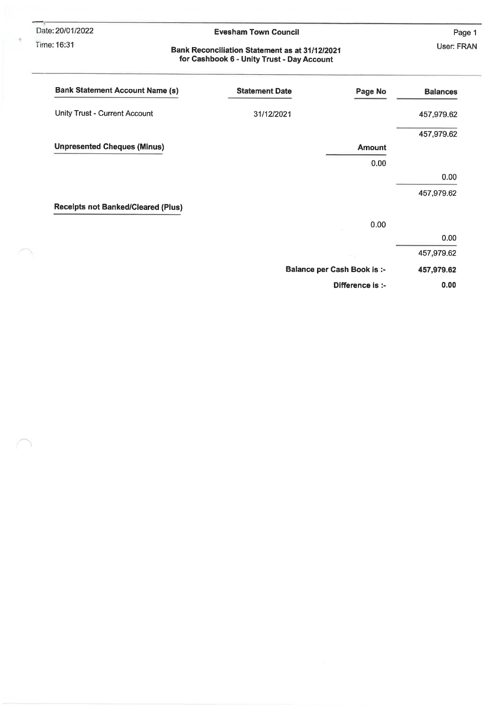Date: 20/01/2022

#### Time: 16:31

#### **Evesham Town Council**

Page 1 User: FRAN

#### Bank Reconciliation Statement as at 31/12/2021 for Cashbook 6 - Unity Trust - Day Account

| <b>Bank Statement Account Name (s)</b>    | <b>Statement Date</b> | Page No                            | <b>Balances</b> |
|-------------------------------------------|-----------------------|------------------------------------|-----------------|
| Unity Trust - Current Account             | 31/12/2021            |                                    | 457,979.62      |
|                                           |                       |                                    | 457,979.62      |
| <b>Unpresented Cheques (Minus)</b>        |                       | <b>Amount</b>                      |                 |
|                                           |                       | 0.00                               |                 |
|                                           |                       |                                    | 0.00            |
|                                           |                       |                                    | 457,979.62      |
| <b>Receipts not Banked/Cleared (Plus)</b> |                       |                                    |                 |
|                                           |                       | 0.00                               |                 |
|                                           |                       |                                    | 0.00            |
|                                           |                       | <b>A</b> 12                        | 457,979.62      |
|                                           |                       | <b>Balance per Cash Book is :-</b> | 457,979.62      |
|                                           |                       | Difference is :-                   | 0.00            |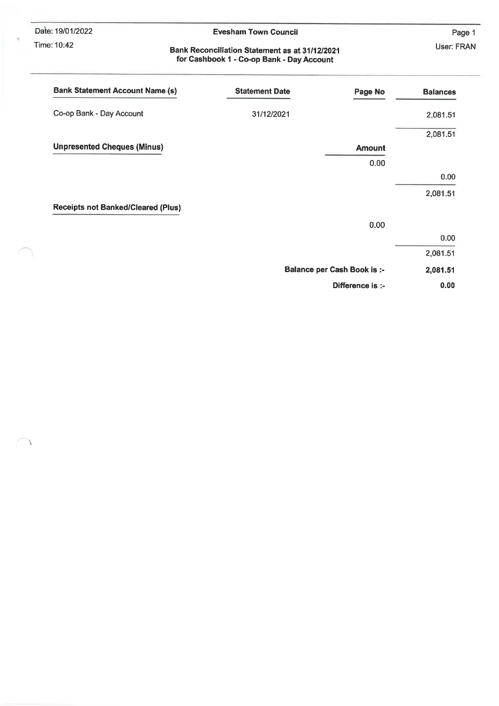Date: 19/01/2022 Time: 10:42

 $\boldsymbol{\lambda}$ 

#### **Evesham Town Council**

Page 1 User: FRAN

#### Bank Reconciliation Statement as at 31/12/2021 for Cashbook 1 - Co-op Bank - Day Account

| <b>Bank Statement Account Name (s)</b>    | <b>Statement Date</b> | Page No                            | <b>Balances</b> |
|-------------------------------------------|-----------------------|------------------------------------|-----------------|
| Co-op Bank - Day Account                  | 31/12/2021            |                                    | 2,081.51        |
|                                           |                       |                                    | 2,081.51        |
| <b>Unpresented Cheques (Minus)</b>        |                       | <b>Amount</b>                      |                 |
|                                           |                       | 0.00                               |                 |
|                                           |                       |                                    | 0.00            |
|                                           |                       |                                    | 2,081.51        |
| <b>Receipts not Banked/Cleared (Plus)</b> |                       |                                    |                 |
|                                           |                       | 0.00                               |                 |
|                                           |                       |                                    | 0.00            |
|                                           |                       |                                    | 2,081.51        |
|                                           |                       | <b>Balance per Cash Book is :-</b> | 2,081.51        |
|                                           |                       | Difference is :-                   | 0.00            |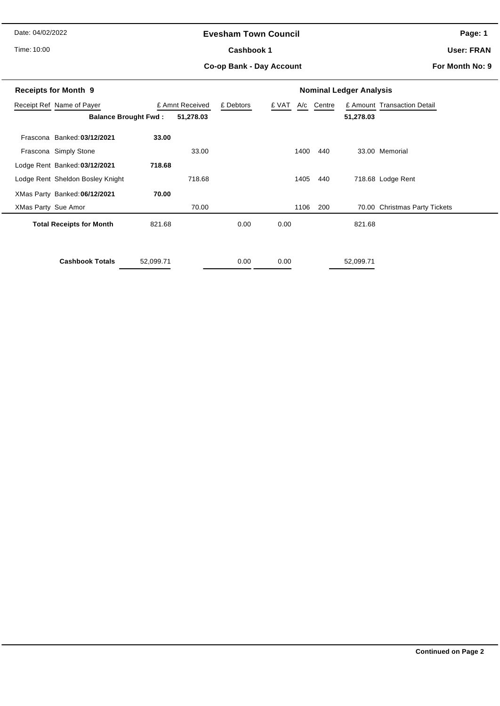#### **Evesham Town Council**

Time: 10:00

#### Cashbook 1

**Page: 1**

**User: FRAN**

**Co-op Bank - Day Account**

| <b>Receipts for Month 9</b>                  |           |           | <b>Nominal Ledger Analysis</b> |       |            |           |                               |  |  |
|----------------------------------------------|-----------|-----------|--------------------------------|-------|------------|-----------|-------------------------------|--|--|
| Receipt Ref Name of Payer<br>£ Amnt Received |           |           | £ Debtors                      | £ VAT | A/c Centre |           | £ Amount Transaction Detail   |  |  |
| <b>Balance Brought Fwd:</b>                  |           | 51,278.03 |                                |       |            | 51,278.03 |                               |  |  |
| Banked: 03/12/2021<br>Frascona               | 33.00     |           |                                |       |            |           |                               |  |  |
| Frascona Simply Stone                        |           | 33.00     |                                | 1400  | 440        |           | 33.00 Memorial                |  |  |
| Lodge Rent Banked: 03/12/2021                | 718.68    |           |                                |       |            |           |                               |  |  |
| Lodge Rent Sheldon Bosley Knight             |           | 718.68    |                                | 1405  | 440        |           | 718.68 Lodge Rent             |  |  |
| XMas Party Banked: 06/12/2021                | 70.00     |           |                                |       |            |           |                               |  |  |
| <b>XMas Party Sue Amor</b>                   |           | 70.00     |                                | 1106  | 200        |           | 70.00 Christmas Party Tickets |  |  |
| <b>Total Receipts for Month</b>              | 821.68    |           | 0.00                           | 0.00  |            | 821.68    |                               |  |  |
| <b>Cashbook Totals</b>                       | 52,099.71 |           | 0.00                           | 0.00  |            | 52,099.71 |                               |  |  |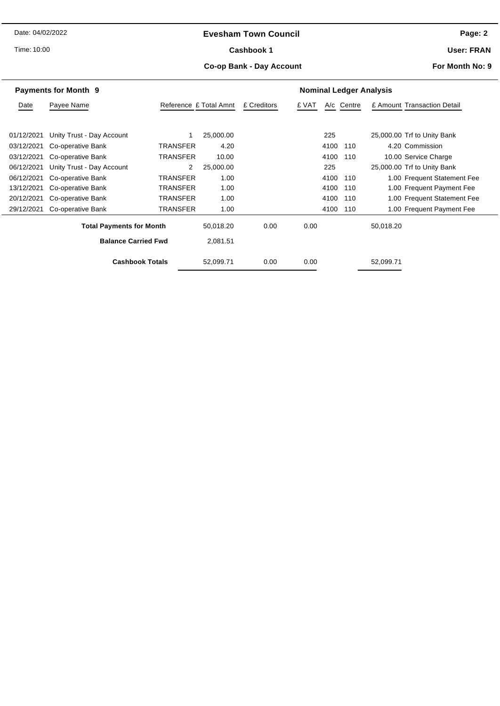#### **Evesham Town Council**

Time: 10:00

#### Cashbook 1

**Page: 2**

**User: FRAN**

#### **Co-op Bank - Day Account**

|                                 | <b>Payments for Month 9</b> |                        |           |             |                     |      | <b>Nominal Ledger Analysis</b> |           |                             |
|---------------------------------|-----------------------------|------------------------|-----------|-------------|---------------------|------|--------------------------------|-----------|-----------------------------|
| Date                            | Payee Name                  | Reference £ Total Amnt |           | £ Creditors | £ VAT<br>A/c Centre |      |                                |           | £ Amount Transaction Detail |
|                                 |                             |                        |           |             |                     |      |                                |           |                             |
| 01/12/2021                      | Unity Trust - Day Account   |                        | 25,000.00 |             |                     | 225  |                                |           | 25,000.00 Trf to Unity Bank |
| 03/12/2021                      | Co-operative Bank           | TRANSFER               | 4.20      |             |                     | 4100 | 110                            |           | 4.20 Commission             |
| 03/12/2021                      | Co-operative Bank           | <b>TRANSFER</b>        | 10.00     |             |                     | 4100 | 110                            |           | 10.00 Service Charge        |
| 06/12/2021                      | Unity Trust - Day Account   | 2                      | 25,000.00 |             |                     | 225  |                                |           | 25,000.00 Trf to Unity Bank |
| 06/12/2021                      | Co-operative Bank           | TRANSFER               | 1.00      |             |                     | 4100 | 110                            |           | 1.00 Frequent Statement Fee |
| 13/12/2021                      | Co-operative Bank           | TRANSFER               | 1.00      |             |                     | 4100 | 110                            |           | 1.00 Frequent Payment Fee   |
| 20/12/2021                      | Co-operative Bank           | TRANSFER               | 1.00      |             |                     | 4100 | 110                            |           | 1.00 Frequent Statement Fee |
| 29/12/2021                      | Co-operative Bank           | TRANSFER               | 1.00      |             |                     | 4100 | 110                            |           | 1.00 Frequent Payment Fee   |
| <b>Total Payments for Month</b> |                             | 50,018.20              | 0.00      | 0.00        |                     |      | 50,018.20                      |           |                             |
|                                 | <b>Balance Carried Fwd</b>  |                        | 2,081.51  |             |                     |      |                                |           |                             |
|                                 | <b>Cashbook Totals</b>      |                        | 52,099.71 | 0.00        | 0.00                |      |                                | 52,099.71 |                             |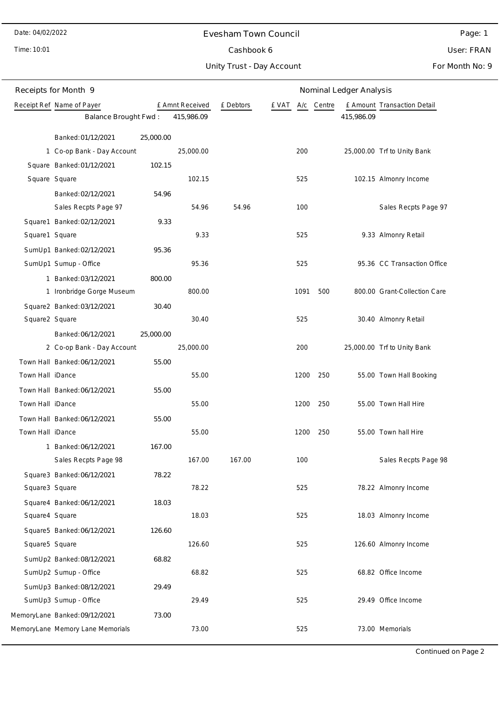### Evesham Town Council

Time: 10:01

# Cashbook 6

Unity Trust - Day Account

Page: 1 User: FRAN

|                  | Receipts for Month 9             | Nominal Ledger Analysis |                 |           |       |      |            |            |                              |
|------------------|----------------------------------|-------------------------|-----------------|-----------|-------|------|------------|------------|------------------------------|
|                  | Receipt Ref Name of Payer        |                         | £ Amnt Received | £ Debtors | e vat |      | A/c Centre |            | £ Amount Transaction Detail  |
|                  | Balance Brought Fwd:             |                         | 415,986.09      |           |       |      |            | 415,986.09 |                              |
|                  | Banked: 01/12/2021               | 25,000.00               |                 |           |       |      |            |            |                              |
|                  | 1 Co-op Bank - Day Account       |                         | 25,000.00       |           |       | 200  |            |            | 25,000.00 Trf to Unity Bank  |
|                  | Square Banked: 01/12/2021        | 102.15                  |                 |           |       |      |            |            |                              |
| Square Square    |                                  |                         | 102.15          |           |       | 525  |            |            | 102.15 Almonry Income        |
|                  | Banked: 02/12/2021               | 54.96                   |                 |           |       |      |            |            |                              |
|                  | Sales Recpts Page 97             |                         | 54.96           | 54.96     |       | 100  |            |            | Sales Recpts Page 97         |
|                  | Square1 Banked: 02/12/2021       | 9.33                    |                 |           |       |      |            |            |                              |
| Square1 Square   |                                  |                         | 9.33            |           |       | 525  |            |            | 9.33 Almonry Retail          |
|                  | SumUp1 Banked: 02/12/2021        | 95.36                   |                 |           |       |      |            |            |                              |
|                  | SumUp1 Sumup - Office            |                         | 95.36           |           |       | 525  |            |            | 95.36 CC Transaction Office  |
|                  | 1 Banked: 03/12/2021             | 800.00                  |                 |           |       |      |            |            |                              |
|                  | 1 Ironbridge Gorge Museum        |                         | 800.00          |           |       | 1091 | 500        |            | 800.00 Grant-Collection Care |
|                  | Square2 Banked: 03/12/2021       | 30.40                   |                 |           |       |      |            |            |                              |
| Square2 Square   |                                  |                         | 30.40           |           |       | 525  |            |            | 30.40 Almonry Retail         |
|                  | Banked: 06/12/2021               | 25,000.00               |                 |           |       |      |            |            |                              |
|                  | 2 Co-op Bank - Day Account       |                         | 25,000.00       |           |       | 200  |            |            | 25,000.00 Trf to Unity Bank  |
|                  | Town Hall Banked: 06/12/2021     | 55.00                   |                 |           |       |      |            |            |                              |
| Town Hall iDance |                                  |                         | 55.00           |           |       | 1200 | 250        |            | 55.00 Town Hall Booking      |
|                  | Town Hall Banked: 06/12/2021     | 55.00                   |                 |           |       |      |            |            |                              |
| Town Hall iDance |                                  |                         | 55.00           |           |       | 1200 | 250        |            | 55.00 Town Hall Hire         |
|                  | Town Hall Banked: 06/12/2021     | 55.00                   |                 |           |       |      |            |            |                              |
| Town Hall iDance |                                  |                         | 55.00           |           |       | 1200 | 250        |            | 55.00 Town hall Hire         |
| 1                | Banked: 06/12/2021               | 167.00                  |                 |           |       |      |            |            |                              |
|                  | Sales Recpts Page 98             |                         | 167.00          | 167.00    |       | 100  |            |            | Sales Recpts Page 98         |
|                  | Square3 Banked: 06/12/2021       | 78.22                   |                 |           |       |      |            |            |                              |
| Square3 Square   |                                  |                         | 78.22           |           |       | 525  |            |            | 78.22 Almonry Income         |
|                  | Square4 Banked: 06/12/2021       | 18.03                   |                 |           |       |      |            |            |                              |
| Square4 Square   |                                  |                         | 18.03           |           |       | 525  |            |            | 18.03 Almonry Income         |
|                  | Square5 Banked: 06/12/2021       | 126.60                  |                 |           |       |      |            |            |                              |
| Square5 Square   |                                  |                         | 126.60          |           |       | 525  |            |            | 126.60 Almonry Income        |
|                  | SumUp2 Banked: 08/12/2021        | 68.82                   |                 |           |       |      |            |            |                              |
|                  | SumUp2 Sumup - Office            |                         | 68.82           |           |       | 525  |            |            | 68.82 Office Income          |
|                  | SumUp3 Banked: 08/12/2021        | 29.49                   |                 |           |       |      |            |            |                              |
|                  | SumUp3 Sumup - Office            |                         | 29.49           |           |       | 525  |            |            | 29.49 Office Income          |
|                  | MemoryLane Banked: 09/12/2021    | 73.00                   |                 |           |       |      |            |            |                              |
|                  | MemoryLane Memory Lane Memorials |                         | 73.00           |           |       | 525  |            |            | 73.00 Memorials              |
|                  |                                  |                         |                 |           |       |      |            |            |                              |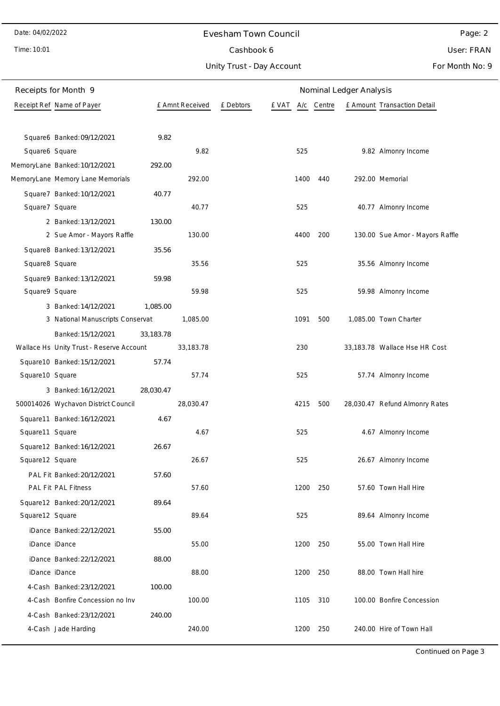#### Evesham Town Council

Time: 10:01

## Unity Trust - Day Account Cashbook 6

Page: 2 User: FRAN

|                 | Receipts for Month 9                     |             |                 |           |       |      |          | Nominal Ledger Analysis |                                 |
|-----------------|------------------------------------------|-------------|-----------------|-----------|-------|------|----------|-------------------------|---------------------------------|
|                 | Receipt Ref Name of Payer                |             | £ Amnt Received | £ Debtors | £ VAT | A/c  | Centre   |                         | £ Amount Transaction Detail     |
|                 |                                          |             |                 |           |       |      |          |                         |                                 |
|                 | Square6 Banked: 09/12/2021               | 9.82        |                 |           |       |      |          |                         |                                 |
| Square6 Square  |                                          |             | 9.82            |           |       | 525  |          |                         | 9.82 Almonry Income             |
|                 | MemoryLane Banked: 10/12/2021            | 292.00      |                 |           |       |      |          |                         |                                 |
|                 | MemoryLane Memory Lane Memorials         |             | 292.00          |           |       |      | 1400 440 |                         | 292.00 Memorial                 |
|                 | Square7 Banked: 10/12/2021               | 40.77       |                 |           |       |      |          |                         |                                 |
| Square7 Square  |                                          |             | 40.77           |           |       | 525  |          |                         | 40.77 Almonry Income            |
|                 | 2 Banked: 13/12/2021                     | 130.00      |                 |           |       |      |          |                         |                                 |
|                 | 2 Sue Amor - Mayors Raffle               |             | 130.00          |           |       | 4400 | 200      |                         | 130.00 Sue Amor - Mayors Raffle |
|                 | Square8 Banked: 13/12/2021               | 35.56       |                 |           |       |      |          |                         |                                 |
| Square8 Square  |                                          |             | 35.56           |           |       | 525  |          |                         | 35.56 Almonry Income            |
|                 | Square9 Banked: 13/12/2021               | 59.98       |                 |           |       |      |          |                         |                                 |
| Square9 Square  |                                          |             | 59.98           |           |       | 525  |          |                         | 59.98 Almonry Income            |
|                 | 3 Banked: 14/12/2021                     | 1,085.00    |                 |           |       |      |          |                         |                                 |
|                 | 3 National Manuscripts Conservat         |             | 1,085.00        |           |       | 1091 | 500      |                         | 1,085.00 Town Charter           |
|                 | Banked: 15/12/2021                       | 33, 183. 78 |                 |           |       |      |          |                         |                                 |
|                 | Wallace Hs Unity Trust - Reserve Account |             | 33,183.78       |           |       | 230  |          |                         | 33,183.78 Wallace Hse HR Cost   |
|                 | Square10 Banked: 15/12/2021              | 57.74       |                 |           |       |      |          |                         |                                 |
| Square10 Square |                                          |             | 57.74           |           |       | 525  |          |                         | 57.74 Almonry Income            |
|                 | 3 Banked: 16/12/2021                     | 28,030.47   |                 |           |       |      |          |                         |                                 |
|                 | 500014026 Wychavon District Council      |             | 28,030.47       |           |       | 4215 | 500      |                         | 28,030.47 Refund Almonry Rates  |
|                 | Square11 Banked: 16/12/2021              | 4.67        |                 |           |       |      |          |                         |                                 |
| Square11 Square |                                          |             | 4.67            |           |       | 525  |          |                         | 4.67 Almonry Income             |
|                 | Square12 Banked: 16/12/2021              | 26.67       |                 |           |       |      |          |                         |                                 |
| Square12 Square |                                          |             | 26.67           |           |       | 525  |          |                         | 26.67 Almonry Income            |
|                 | PAL Fit Banked: 20/12/2021               | 57.60       |                 |           |       |      |          |                         |                                 |
|                 | PAL Fit PAL Fitness                      |             | 57.60           |           |       | 1200 | 250      |                         | 57.60 Town Hall Hire            |
|                 | Square12 Banked: 20/12/2021              | 89.64       |                 |           |       |      |          |                         |                                 |
| Square12 Square |                                          |             | 89.64           |           |       | 525  |          |                         | 89.64 Almonry Income            |
|                 | iDance Banked: 22/12/2021                | 55.00       |                 |           |       |      |          |                         |                                 |
| iDance iDance   |                                          |             | 55.00           |           |       | 1200 | 250      |                         | 55.00 Town Hall Hire            |
|                 | iDance Banked: 22/12/2021                | 88.00       |                 |           |       |      |          |                         |                                 |
|                 | iDance iDance                            |             | 88.00           |           |       | 1200 | 250      |                         | 88.00 Town Hall hire            |
|                 | 4-Cash Banked: 23/12/2021                | 100.00      |                 |           |       |      |          |                         | 100.00 Bonfire Concession       |
|                 | 4-Cash Bonfire Concession no Inv         |             | 100.00          |           |       | 1105 | 310      |                         |                                 |
|                 | 4-Cash Banked: 23/12/2021                | 240.00      |                 |           |       |      |          |                         |                                 |
|                 | 4-Cash Jade Harding                      |             | 240.00          |           |       | 1200 | 250      |                         | 240.00 Hire of Town Hall        |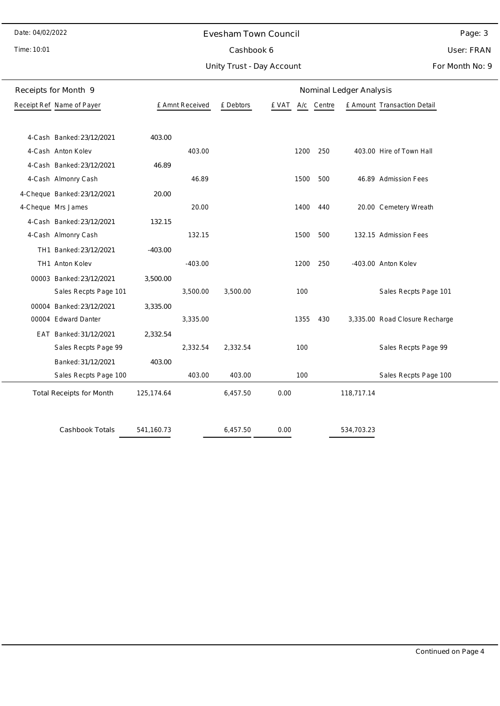#### Evesham Town Council

Time: 10:01

## Unity Trust - Day Account Cashbook 6

Page: 3 User: FRAN

| Receipts for Month 9            |            |                 |           |       |      |        | Nominal Ledger Analysis |                                |
|---------------------------------|------------|-----------------|-----------|-------|------|--------|-------------------------|--------------------------------|
| Receipt Ref Name of Payer       |            | £ Amnt Received | £ Debtors | £ VAT | A/c  | Centre |                         | £ Amount Transaction Detail    |
|                                 |            |                 |           |       |      |        |                         |                                |
| 4-Cash Banked: 23/12/2021       | 403.00     |                 |           |       |      |        |                         |                                |
| 4-Cash Anton Kolev              |            | 403.00          |           |       | 1200 | 250    |                         | 403.00 Hire of Town Hall       |
| 4-Cash Banked: 23/12/2021       | 46.89      |                 |           |       |      |        |                         |                                |
| 4-Cash Almonry Cash             |            | 46.89           |           |       | 1500 | 500    |                         | 46.89 Admission Fees           |
| 4-Cheque Banked: 23/12/2021     | 20.00      |                 |           |       |      |        |                         |                                |
| 4-Cheque Mrs James              |            | 20.00           |           |       | 1400 | 440    |                         | 20.00 Cemetery Wreath          |
| 4-Cash Banked: 23/12/2021       | 132.15     |                 |           |       |      |        |                         |                                |
| 4-Cash Almonry Cash             |            | 132.15          |           |       | 1500 | 500    |                         | 132.15 Admission Fees          |
| TH1 Banked: 23/12/2021          | $-403.00$  |                 |           |       |      |        |                         |                                |
| TH1 Anton Kolev                 |            | $-403.00$       |           |       | 1200 | 250    |                         | -403.00 Anton Kolev            |
| 00003 Banked: 23/12/2021        | 3,500.00   |                 |           |       |      |        |                         |                                |
| Sales Recpts Page 101           |            | 3,500.00        | 3,500.00  |       | 100  |        |                         | Sales Recpts Page 101          |
| 00004 Banked: 23/12/2021        | 3,335.00   |                 |           |       |      |        |                         |                                |
| 00004 Edward Danter             |            | 3,335.00        |           |       | 1355 | 430    |                         | 3,335.00 Road Closure Recharge |
| EAT Banked: 31/12/2021          | 2,332.54   |                 |           |       |      |        |                         |                                |
| Sales Recpts Page 99            |            | 2,332.54        | 2,332.54  |       | 100  |        |                         | Sales Recpts Page 99           |
| Banked: 31/12/2021              | 403.00     |                 |           |       |      |        |                         |                                |
| Sales Recpts Page 100           |            | 403.00          | 403.00    |       | 100  |        |                         | Sales Recpts Page 100          |
| <b>Total Receipts for Month</b> | 125,174.64 |                 | 6,457.50  | 0.00  |      |        | 118,717.14              |                                |
|                                 |            |                 |           |       |      |        |                         |                                |
|                                 |            |                 |           |       |      |        |                         |                                |
| Cashbook Totals                 | 541,160.73 |                 | 6,457.50  | 0.00  |      |        | 534,703.23              |                                |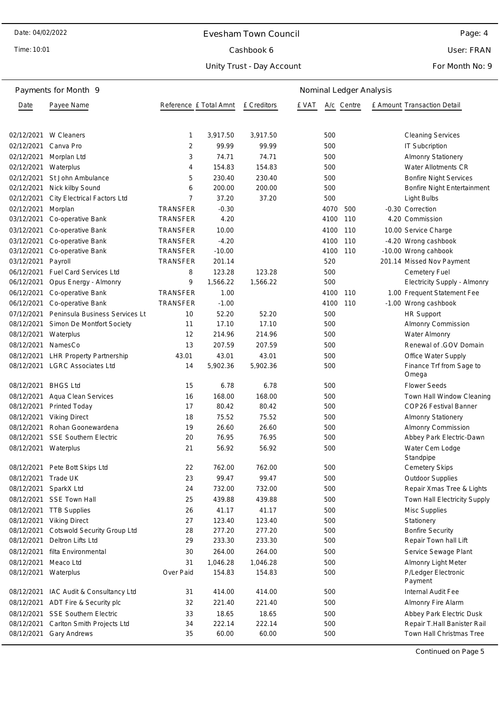Time: 10:01

## Evesham Town Council Cashbook 6

Unity Trust - Day Account

User: FRAN

For Month No: 9

|            | Payments for Month 9               | Nominal Ledger Analysis |          |             |       |      |            |  |                                   |
|------------|------------------------------------|-------------------------|----------|-------------|-------|------|------------|--|-----------------------------------|
| Date       | Payee Name                         | Reference £ Total Amnt  |          | £ Creditors | £ VAT |      | A/c Centre |  | E Amount Transaction Detail       |
|            |                                    |                         |          |             |       |      |            |  |                                   |
| 02/12/2021 | W Cleaners                         | 1                       | 3,917.50 | 3,917.50    |       | 500  |            |  | <b>Cleaning Services</b>          |
| 02/12/2021 | Canva Pro                          | 2                       | 99.99    | 99.99       |       | 500  |            |  | IT Subcription                    |
| 02/12/2021 | Morplan Ltd                        | 3                       | 74.71    | 74.71       |       | 500  |            |  | <b>Almonry Stationery</b>         |
| 02/12/2021 | Waterplus                          | 4                       | 154.83   | 154.83      |       | 500  |            |  | Water Allotments CR               |
| 02/12/2021 | St John Ambulance                  | 5                       | 230.40   | 230.40      |       | 500  |            |  | <b>Bonfire Night Services</b>     |
| 02/12/2021 | Nick kilby Sound                   | 6                       | 200.00   | 200.00      |       | 500  |            |  | Bonfire Night Entertainment       |
| 02/12/2021 | City Electrical Factors Ltd        | $\overline{7}$          | 37.20    | 37.20       |       | 500  |            |  | Light Bulbs                       |
| 02/12/2021 | Morplan                            | TRANSFER                | $-0.30$  |             |       | 4070 | 500        |  | -0.30 Correction                  |
| 03/12/2021 | Co-operative Bank                  | TRANSFER                | 4.20     |             |       | 4100 | 110        |  | 4.20 Commission                   |
| 03/12/2021 | Co-operative Bank                  | <b>TRANSFER</b>         | 10.00    |             |       | 4100 | 110        |  | 10.00 Service Charge              |
| 03/12/2021 | Co-operative Bank                  | TRANSFER                | $-4.20$  |             |       | 4100 | 110        |  | -4.20 Wrong cashbook              |
| 03/12/2021 | Co-operative Bank                  | <b>TRANSFER</b>         | $-10.00$ |             |       | 4100 | 110        |  | -10.00 Wrong cahbook              |
| 03/12/2021 | Payroll                            | TRANSFER                | 201.14   |             |       | 520  |            |  | 201.14 Missed Nov Payment         |
| 06/12/2021 | <b>Fuel Card Services Ltd</b>      | 8                       | 123.28   | 123.28      |       | 500  |            |  | Cemetery Fuel                     |
| 06/12/2021 | Opus Energy - Almonry              | 9                       | 1,566.22 | 1,566.22    |       | 500  |            |  | Electricity Supply - Almonry      |
| 06/12/2021 | Co-operative Bank                  | <b>TRANSFER</b>         | 1.00     |             |       | 4100 | 110        |  | 1.00 Frequent Statement Fee       |
| 06/12/2021 | Co-operative Bank                  | TRANSFER                | $-1.00$  |             |       | 4100 | 110        |  | -1.00 Wrong cashbook              |
| 07/12/2021 | Peninsula Business Services Lt     | 10                      | 52.20    | 52.20       |       | 500  |            |  | <b>HR Support</b>                 |
| 08/12/2021 | Simon De Montfort Society          | 11                      | 17.10    | 17.10       |       | 500  |            |  | Almonry Commission                |
| 08/12/2021 | Waterplus                          | 12                      | 214.96   | 214.96      |       | 500  |            |  | Water Almonry                     |
| 08/12/2021 | NamesCo                            | 13                      | 207.59   | 207.59      |       | 500  |            |  | Renewal of .GOV Domain            |
| 08/12/2021 | <b>LHR Property Partnership</b>    | 43.01                   | 43.01    | 43.01       |       | 500  |            |  | Office Water Supply               |
| 08/12/2021 | <b>LGRC Associates Ltd</b>         | 14                      | 5,902.36 | 5,902.36    |       | 500  |            |  | Finance Trf from Sage to<br>Omega |
| 08/12/2021 | <b>BHGS Ltd</b>                    | 15                      | 6.78     | 6.78        |       | 500  |            |  | <b>Flower Seeds</b>               |
| 08/12/2021 | Aqua Clean Services                | 16                      | 168.00   | 168.00      |       | 500  |            |  | Town Hall Window Cleaning         |
| 08/12/2021 | Printed Today                      | 17                      | 80.42    | 80.42       |       | 500  |            |  | COP26 Festival Banner             |
| 08/12/2021 | <b>Viking Direct</b>               | 18                      | 75.52    | 75.52       |       | 500  |            |  | <b>Almonry Stationery</b>         |
| 08/12/2021 | Rohan Goonewardena                 | 19                      | 26.60    | 26.60       |       | 500  |            |  | Almonry Commission                |
| 08/12/2021 | <b>SSE Southern Electric</b>       | 20                      | 76.95    | 76.95       |       | 500  |            |  | Abbey Park Electric-Dawn          |
| 08/12/2021 | Waterplus                          | 21                      | 56.92    | 56.92       |       | 500  |            |  | Water Cem Lodge                   |
|            |                                    |                         |          |             |       |      |            |  | Standpipe                         |
|            | 08/12/2021 Pete Bott Skips Ltd     | 22                      | 762.00   | 762.00      |       | 500  |            |  | <b>Cemetery Skips</b>             |
| 08/12/2021 | Trade UK                           | 23                      | 99.47    | 99.47       |       | 500  |            |  | <b>Outdoor Supplies</b>           |
| 08/12/2021 | SparkX Ltd                         | 24                      | 732.00   | 732.00      |       | 500  |            |  | Repair Xmas Tree & Lights         |
|            | 08/12/2021 SSE Town Hall           | 25                      | 439.88   | 439.88      |       | 500  |            |  | Town Hall Electricity Supply      |
| 08/12/2021 | <b>TTB Supplies</b>                | 26                      | 41.17    | 41.17       |       | 500  |            |  | Misc Supplies                     |
| 08/12/2021 | <b>Viking Direct</b>               | 27                      | 123.40   | 123.40      |       | 500  |            |  | Stationery                        |
| 08/12/2021 | Cotswold Security Group Ltd        | 28                      | 277.20   | 277.20      |       | 500  |            |  | <b>Bonfire Security</b>           |
| 08/12/2021 | Deltron Lifts Ltd                  | 29                      | 233.30   | 233.30      |       | 500  |            |  | Repair Town hall Lift             |
| 08/12/2021 | filta Environmental                | 30                      | 264.00   | 264.00      |       | 500  |            |  | Service Sewage Plant              |
| 08/12/2021 | Meaco Ltd                          | 31                      | 1,046.28 | 1,046.28    |       | 500  |            |  | Almonry Light Meter               |
| 08/12/2021 | Waterplus                          | Over Paid               | 154.83   | 154.83      |       | 500  |            |  | P/Ledger Electronic<br>Payment    |
| 08/12/2021 | IAC Audit & Consultancy Ltd        | 31                      | 414.00   | 414.00      |       | 500  |            |  | Internal Audit Fee                |
|            | 08/12/2021 ADT Fire & Security plc | 32                      | 221.40   | 221.40      |       | 500  |            |  | Almonry Fire Alarm                |
|            | 08/12/2021 SSE Southern Electric   | 33                      | 18.65    | 18.65       |       | 500  |            |  | Abbey Park Electric Dusk          |
| 08/12/2021 | Carlton Smith Projects Ltd         | 34                      | 222.14   | 222.14      |       | 500  |            |  | Repair T.Hall Banister Rail       |
| 08/12/2021 | <b>Gary Andrews</b>                | 35                      | 60.00    | 60.00       |       | 500  |            |  | Town Hall Christmas Tree          |

Continued on Page 5

Page: 4